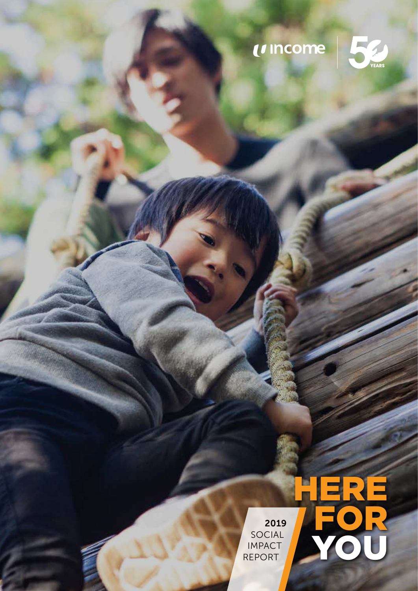# UINCOME





2019 SOCIAL IMPACT REPORT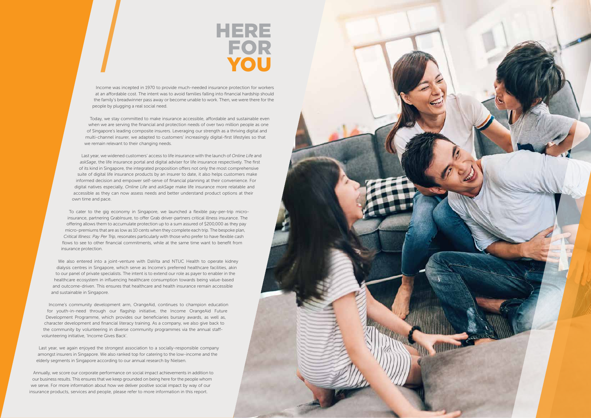Income was incepted in 1970 to provide much-needed insurance protection for workers at an affordable cost. The intent was to avoid families falling into financial hardship should the family's breadwinner pass away or become unable to work. Then, we were there for the people by plugging a real social need.

Today, we stay committed to make insurance accessible, affordable and sustainable even when we are serving the financial and protection needs of over two million people as one of Singapore's leading composite insurers. Leveraging our strength as a thriving digital and multi-channel insurer, we adapted to customers' increasingly digital-first lifestyles so that we remain relevant to their changing needs.

Last year, we widened customers' access to life insurance with the launch of *Online Life* and *askSage*, the life insurance portal and digital adviser for life insurance respectively. The first of its kind in Singapore, the integrated proposition offers not only the most comprehensive suite of digital life insurance products by an insurer to date, it also helps customers make informed decision and empower self-serve of financial planning at their convenience. For digital natives especially, *Online Life* and *askSage* make life insurance more relatable and accessible as they can now assess needs and better understand product options at their own time and pace.

To cater to the gig economy in Singapore, we launched a flexible pay-per-trip microinsurance, partnering GrabInsure, to offer Grab driver-partners critical illness insurance. The offering allows them to accumulate protection up to a sum assured of \$200,000 as they pay micro-premiums that are as low as 10 cents when they complete each trip. The bespoke plan, *Critical Illness*: *Pay Per Trip*, resonates particularly with those who prefer to have flexible cash flows to see to other financial commitments, while at the same time want to benefit from insurance protection.

## HERE FOR **YOU**

We also entered into a joint-venture with DaVita and NTUC Health to operate kidney dialysis centres in Singapore, which serve as Income's preferred healthcare facilities, akin to our panel of private specialists. The intent is to extend our role as payer to enabler in the healthcare ecosystem in influencing healthcare consumption towards being value-based and outcome-driven. This ensures that healthcare and health insurance remain accessible and sustainable in Singapore.

Income's community development arm, OrangeAid, continues to champion education for youth-in-need through our flagship initiative, the Income OrangeAid Future Development Programme, which provides our beneficiaries bursary awards, as well as, character development and financial literacy training. As a company, we also give back to the community by volunteering in diverse community programmes via the annual staffvolunteering initiative, 'Income Gives Back'.

Last year, we again enjoyed the strongest association to a socially-responsible company amongst insurers in Singapore. We also ranked top for catering to the low-income and the elderly segments in Singapore according to our annual research by Nielsen.

Annually, we score our corporate performance on social impact achievements in addition to our business results. This ensures that we keep grounded on being here for the people whom we serve. For more information about how we deliver positive social impact by way of our insurance products, services and people, please refer to more information in this report.

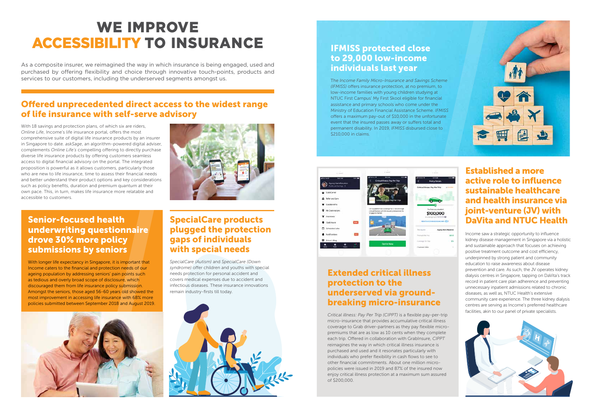As a composite insurer, we reimagined the way in which insurance is being engaged, used and purchased by offering flexibility and choice through innovative touch-points, products and services to our customers, including the underserved segments amongst us.

## WE IMPROVE ACCESSIBILITY TO INSURANCE

#### Offered unprecedented direct access to the widest range of life insurance with self-serve advisory

With 18 savings and protection plans, of which six are riders, *Online Life*, Income's life insurance portal, offers the most comprehensive suite of digital life insurance products by an insurer in Singapore to date. *askSage*, an algorithm-powered digital adviser, complements *Online Life's* compelling offering to directly purchase diverse life insurance products by offering customers seamless access to digital financial advisory on the portal. The integrated proposition is powerful as it allows customers, particularly those who are new to life insurance, time to assess their financial needs and better understand their product options and key considerations such as policy benefits, duration and premium quantum at their own pace. This, in turn, makes life insurance more relatable and accessible to customers.



#### Established a more active role to influence sustainable healthcare and health insurance via joint-venture (JV) with DaVita and NTUC Health

Income saw a strategic opportunity to influence kidney disease management in Singapore via a holistic and sustainable approach that focuses on achieving positive treatment outcome and cost efficiency, underpinned by strong patient and community education to raise awareness about disease prevention and care. As such, the JV operates kidney dialysis centres in Singapore, tapping on DaVita's track record in patient care plan adherence and preventing unnecessary inpatient admissions related to chronic diseases, as well as, NTUC Health's extensive community care experience. The three kidney dialysis centres are serving as Income's preferred healthcare facilities, akin to our panel of private specialists.



#### IFMISS protected close to 29,000 low-income individuals last year

The *Income Family Micro-Insurance and Savings Scheme (IFMISS)* offers insurance protection, at no premium, to low-income families with young children studying at NTUC First Campus' My First Skool eligible for financial assistance and primary schools who come under the Ministry of Education Financial Assistance Scheme. *IFMISS* offers a maximum pay-out of \$10,000 in the unfortunate event that the insured passes away or suffers total and permanent disability. In 2019, *IFMISS* disbursed close to \$210,000 in claims.



#### Extended critical illness protection to the underserved via groundbreaking micro-insurance

*Critical illness: Pay Per Trip (CIPPT)* is a flexible pay-per-trip micro-insurance that provides accumulative critical illness coverage to Grab driver-partners as they pay flexible micropremiums that are as low as 10 cents when they complete each trip. Offered in collaboration with GrabInsure, *CIPPT*  reimagines the way in which critical illness insurance is purchased and used and it resonates particularly with individuals who prefer flexibility in cash flows to see to other financial commitments. About one million micropolicies were issued in 2019 and 87% of the insured now enjoy critical illness protection at a maximum sum assured of \$200,000.





#### Senior-focused health underwriting questionnaire drove 30% more policy submissions by seniors

With longer life expectancy in Singapore, it is important that Income caters to the financial and protection needs of our ageing population by addressing seniors' pain points such as tedious and overly broad scope of disclosure, which discouraged them from life insurance policy submission. Amongst the seniors, those aged 56-60 years old showed the most improvement in accessing life insurance with 68% more policies submitted between September 2018 and August 2019.



#### SpecialCare products plugged the protection gaps of individuals with special needs

*SpecialCare (Autism)* and *SpecialCare (Down syndrome)* offer children and youths with special needs protection for personal accident and covers medical expenses due to accident and infectious diseases. These insurance innovations remain industry-firsts till today.

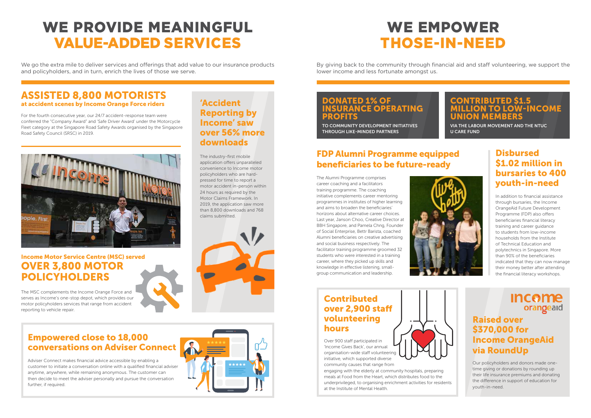TO COMMUNITY DEVELOPMENT INITIATIVES THROUGH LIKE-MINDED PARTNERS

#### Contributed over 2,900 staff volunteering hours

Over 900 staff participated in 'Income Gives Back', our annual organisation-wide staff volunteering initiative, which supported diverse community causes that range from

engaging with the elderly at community hospitals, preparing meals at Food from the Heart, which distributes food to the underprivileged, to organising enrichment activities for residents at the Institute of Mental Health.



#### CONTRIBUTED \$1.5 LLION TO LOW-INCOME UNION MEMBERS

VIA THE LABOUR MOVEMENT AND THE NTUC U CARE FUND

#### Raised over \$370,000 for Income OrangeAid via RoundUp

Our policyholders and donors made onetime giving or donations by rounding up their life insurance premiums and donating the difference in support of education for youth-in-need.

#### Income Motor Service Centre (MSC) served OVER 3,800 MOTOR POLICYHOLDERS

#### **Disbursed** \$1.02 million in bursaries to 400 youth-in-need

The MSC complements the Income Orange Force and serves as Income's one-stop depot, which provides our motor policyholders services that range from accident reporting to vehicle repair.

#### Empowered close to 18,000 conversations on Adviser Connect

Adviser Connect makes financial advice accessible by enabling a customer to initiate a conversation online with a qualified financial adviser anytime, anywhere, while remaining anonymous. The customer can then decide to meet the adviser personally and pursue the conversation further, if required.

#### ASSISTED 8,800 MOTORISTS at accident scenes by Income Orange Force riders

We go the extra mile to deliver services and offerings that add value to our insurance products and policyholders, and in turn, enrich the lives of those we serve.

For the fourth consecutive year, our 24/7 accident-response team were conferred the "Company Award" and 'Safe Driver Award' under the Motorcycle Fleet category at the Singapore Road Safety Awards organised by the Singapore Road Safety Council (SRSC) in 2019.



### FDP Alumni Programme equipped beneficiaries to be future-ready

In addition to financial assistance through bursaries, the Income OrangeAid Future Development Programme (FDP) also offers beneficiaries financial literacy training and career guidance to students from low-income households from the Institute of Technical Education and polytechnics in Singapore. More than 90% of the beneficiaries indicated that they can now manage their money better after attending the financial literacy workshops.

#### **Income** orangeaid

The Alumni Programme comprises career coaching and a facilitators training programme. The coaching initiative complements career mentoring programmes in institutes of higher learning and aims to broaden the beneficiaries' horizons about alternative career choices. Last year, Janson Choo, Creative Director at BBH Singapore, and Pamela Chng, Founder of Social Enterprise, Bettr Barista, coached Alumni beneficiaries on creative advertising and social business respectively. The facilitator training programme groomed 32 students who were interested in a training career, where they picked up skills and knowledge in effective listening, smallgroup communication and leadership.



## WE PROVIDE MEANINGFUL VALUE-ADDED SERVICES

## WE EMPOWER THOSE-IN-NEED

By giving back to the community through financial aid and staff volunteering, we support the

lower income and less fortunate amongst us.

#### 'Accident Reporting by Income' saw over 56% more downloads

The industry-first mobile application offers unparalleled convenience to Income motor policyholders who are hardpressed for time to report a motor accident in-person within 24 hours as required by the Motor Claims Framework. In 2019, the application saw more than 8,800 downloads and 768 claims submitted.



## DONATED 1% OF **ISURANCE OPERATING PROFITS**